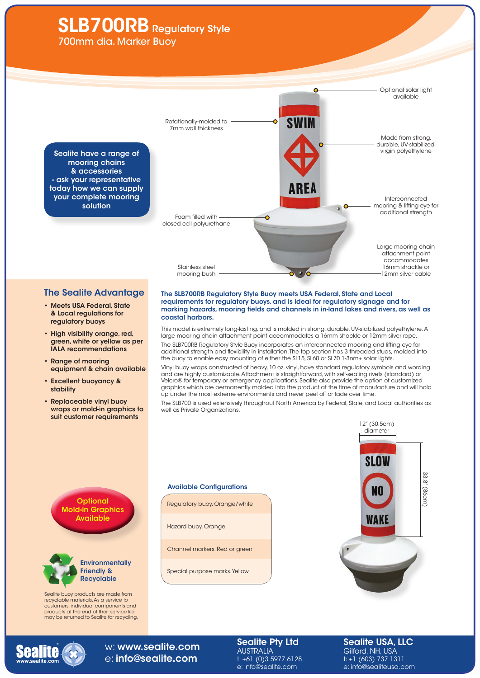# **SLB700RB** Regulatory Style

700mm dia. Marker Buoy



## The Sealite Advantage

- • Meets USA Federal, State & Local regulations for regulatory buoys
- High visibility orange, red, green, white or yellow as per IALA recommendations
- • Range of mooring equipment & chain available
- • Excellent buoyancy & stability
- • Replaceable vinyl buoy wraps or mold-in graphics to suit customer requirements

#### The SLB700RB Regulatory Style Buoy meets USA Federal, State and Local requirements for regulatory buoys, and is ideal for regulatory signage and for marking hazards, mooring fields and channels in in-land lakes and rivers, as well as coastal harbors.

This model is extremely long-lasting, and is molded in strong, durable, UV-stabilized polyethylene. A large mooring chain attachment point accommodates a 16mm shackle or 12mm silver rope.

The SLB700RB Regulatory Style Buoy incorporates an interconnected mooring and lifting eye for additional strength and flexibility in installation. The top section has 3 threaded studs, molded into the buoy to enable easy mounting of either the SL15, SL60 or SL70 1-3nm+ solar lights.

Vinyl buoy wraps constructed of heavy, 10 oz. vinyl, have standard regulatory symbols and wording and are highly customizable. Attachment is straightforward, with self-sealing rivets (standard) or Velcro® for temporary or emergency applications. Sealite also provide the option of customized graphics which are permanently molded into the product at the time of manufacture and will hold up under the most extreme environments and never peel off or fade over time.

The SLB700 is used extensively throughout North America by Federal, State, and Local authorities as well as Private Organizations.







Sealite buoy products are made from recyclable materials. As a service to customers, individual components and products at the end of their service life may be returned to Sealite for recycling.

#### Available Configurations

Regulatory buoy. Orange/white

Hazard buoy. Orange

Channel markers. Red or green

Special purpose marks. Yellow





## w: www.sealite.com e: info@sealite.com

Sealite Pty Ltd AUSTRALIA t: +61 (0)3 5977 6128 e: info@sealite.com

#### Sealite USA, LLC Gilford, NH, USA t: +1 (603) 737 1311 e: info@sealiteusa.com